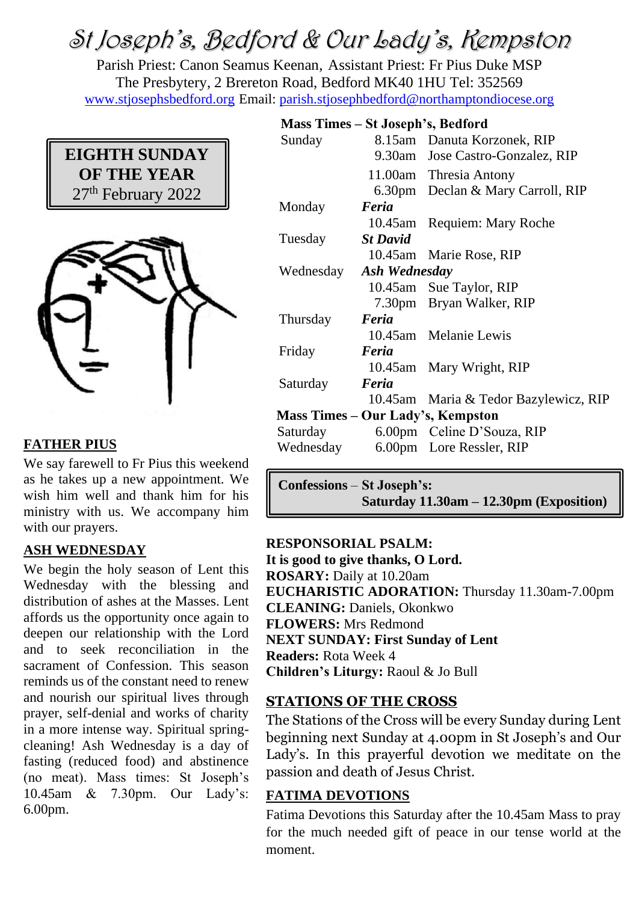# St Joseph's, Bedford & Our Lady's, Kempston

Parish Priest: Canon Seamus Keenan, Assistant Priest: Fr Pius Duke MSP The Presbytery, 2 Brereton Road, Bedford MK40 1HU Tel: 352569 [www.stjosephsbedford.org](http://www.stjosephsbedford.org/) Email: [parish.stjosephbedford@northamptondiocese.org](mailto:parish.stjosephbedford@northamptondiocese.org)



## **FATHER PIUS**

We say farewell to Fr Pius this weekend as he takes up a new appointment. We wish him well and thank him for his ministry with us. We accompany him with our prayers.

## **ASH WEDNESDAY**

We begin the holy season of Lent this Wednesday with the blessing and distribution of ashes at the Masses. Lent affords us the opportunity once again to deepen our relationship with the Lord and to seek reconciliation in the sacrament of Confession. This season reminds us of the constant need to renew and nourish our spiritual lives through prayer, self-denial and works of charity in a more intense way. Spiritual springcleaning! Ash Wednesday is a day of fasting (reduced food) and abstinence (no meat). Mass times: St Joseph's 10.45am & 7.30pm. Our Lady's: 6.00pm.

#### **Mass Times – St Joseph's, Bedford**

| Sunday                            |                         | 8.15am Danuta Korzonek, RIP           |  |
|-----------------------------------|-------------------------|---------------------------------------|--|
|                                   |                         | 9.30am Jose Castro-Gonzalez, RIP      |  |
|                                   |                         | 11.00am Thresia Antony                |  |
|                                   |                         | 6.30pm Declan & Mary Carroll, RIP     |  |
| Monday                            | Feria                   |                                       |  |
|                                   |                         | 10.45am Requiem: Mary Roche           |  |
| Tuesday                           | <b>St David</b>         |                                       |  |
|                                   |                         | 10.45am Marie Rose, RIP               |  |
|                                   | Wednesday Ash Wednesday |                                       |  |
|                                   |                         | 10.45am Sue Taylor, RIP               |  |
|                                   |                         | 7.30pm Bryan Walker, RIP              |  |
| Thursday                          | Feria                   |                                       |  |
|                                   |                         | 10.45am Melanie Lewis                 |  |
| Friday                            | Feria                   |                                       |  |
|                                   |                         | 10.45am Mary Wright, RIP              |  |
| Saturday                          | Feria                   |                                       |  |
|                                   |                         | 10.45am Maria & Tedor Bazylewicz, RIP |  |
| Mass Times – Our Lady's, Kempston |                         |                                       |  |
| Saturday                          |                         | 6.00pm Celine D'Souza, RIP            |  |
|                                   |                         | Wednesday 6.00pm Lore Ressler, RIP    |  |
|                                   |                         |                                       |  |

**Confessions** – **St Joseph's: Saturday 11.30am – 12.30pm (Exposition)**

## **RESPONSORIAL PSALM:**

**It is good to give thanks, O Lord. ROSARY:** Daily at 10.20am **EUCHARISTIC ADORATION:** Thursday 11.30am-7.00pm **CLEANING:** Daniels, Okonkwo **FLOWERS:** Mrs Redmond **NEXT SUNDAY: First Sunday of Lent Readers:** Rota Week 4 **Children's Liturgy:** Raoul & Jo Bull

## **STATIONS OF THE CROSS**

The Stations of the Cross will be every Sunday during Lent beginning next Sunday at 4.00pm in St Joseph's and Our Lady's. In this prayerful devotion we meditate on the passion and death of Jesus Christ.

## **FATIMA DEVOTIONS**

Fatima Devotions this Saturday after the 10.45am Mass to pray for the much needed gift of peace in our tense world at the moment.